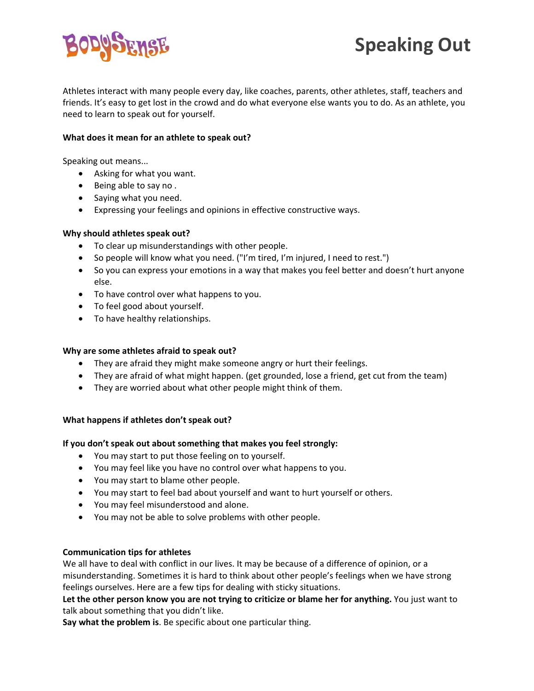

Athletes interact with many people every day, like coaches, parents, other athletes, staff, teachers and friends. It's easy to get lost in the crowd and do what everyone else wants you to do. As an athlete, you need to learn to speak out for yourself.

#### **What does it mean for an athlete to speak out?**

Speaking out means...

- Asking for what you want.
- Being able to say no .
- Saying what you need.
- Expressing your feelings and opinions in effective constructive ways.

#### **Why should athletes speak out?**

- To clear up misunderstandings with other people.
- So people will know what you need. ("I'm tired, I'm injured, I need to rest.")
- So you can express your emotions in a way that makes you feel better and doesn't hurt anyone else.
- To have control over what happens to you.
- To feel good about yourself.
- To have healthy relationships.

# **Why are some athletes afraid to speak out?**

- They are afraid they might make someone angry or hurt their feelings.
- They are afraid of what might happen. (get grounded, lose a friend, get cut from the team)
- They are worried about what other people might think of them.

# **What happens if athletes don't speak out?**

# **If you don't speak out about something that makes you feel strongly:**

- You may start to put those feeling on to yourself.
- You may feel like you have no control over what happens to you.
- You may start to blame other people.
- You may start to feel bad about yourself and want to hurt yourself or others.
- You may feel misunderstood and alone.
- You may not be able to solve problems with other people.

# **Communication tips for athletes**

We all have to deal with conflict in our lives. It may be because of a difference of opinion, or a misunderstanding. Sometimes it is hard to think about other people's feelings when we have strong feelings ourselves. Here are a few tips for dealing with sticky situations.

**Let the other person know you are not trying to criticize or blame her for anything.** You just want to talk about something that you didn't like.

**Say what the problem is**. Be specific about one particular thing.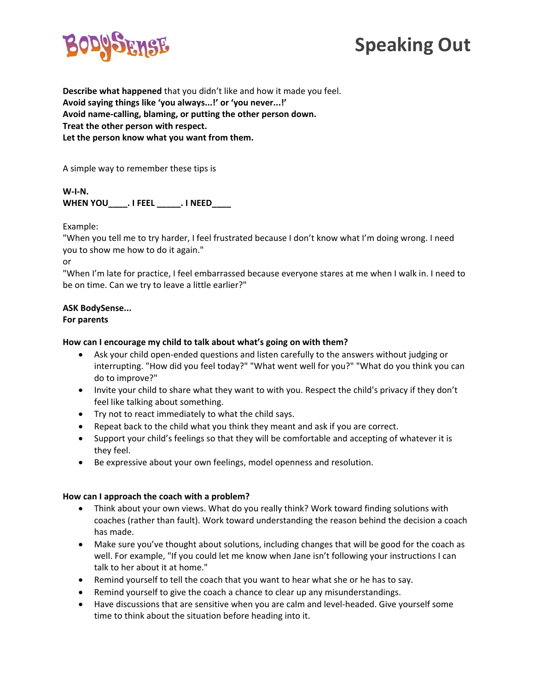



**Describe what happened** that you didn't like and how it made you feel. **Avoid saying things like 'you always...!' or 'you never...!' Avoid name‐calling, blaming, or putting the other person down. Treat the other person with respect. Let the person know what you want from them.**

A simple way to remember these tips is

**W‐I‐N. WHEN YOU\_\_\_\_. I FEEL \_\_\_\_\_. I NEED\_\_\_\_** 

Example:

"When you tell me to try harder, I feel frustrated because I don't know what I'm doing wrong. I need you to show me how to do it again."

or

"When I'm late for practice, I feel embarrassed because everyone stares at me when I walk in. I need to be on time. Can we try to leave a little earlier?"

# **ASK BodySense...**

#### **For parents**

#### **How can I encourage my child to talk about what's going on with them?**

- Ask your child open‐ended questions and listen carefully to the answers without judging or interrupting. "How did you feel today?" "What went well for you?" "What do you think you can do to improve?"
- Invite your child to share what they want to with you. Respect the child's privacy if they don't feel like talking about something.
- Try not to react immediately to what the child says.
- Repeat back to the child what you think they meant and ask if you are correct.
- Support your child's feelings so that they will be comfortable and accepting of whatever it is they feel.
- Be expressive about your own feelings, model openness and resolution.

#### **How can I approach the coach with a problem?**

- Think about your own views. What do you really think? Work toward finding solutions with coaches (rather than fault). Work toward understanding the reason behind the decision a coach has made.
- Make sure you've thought about solutions, including changes that will be good for the coach as well. For example, "If you could let me know when Jane isn't following your instructions I can talk to her about it at home."
- Remind yourself to tell the coach that you want to hear what she or he has to say.
- Remind yourself to give the coach a chance to clear up any misunderstandings.
- Have discussions that are sensitive when you are calm and level-headed. Give yourself some time to think about the situation before heading into it.